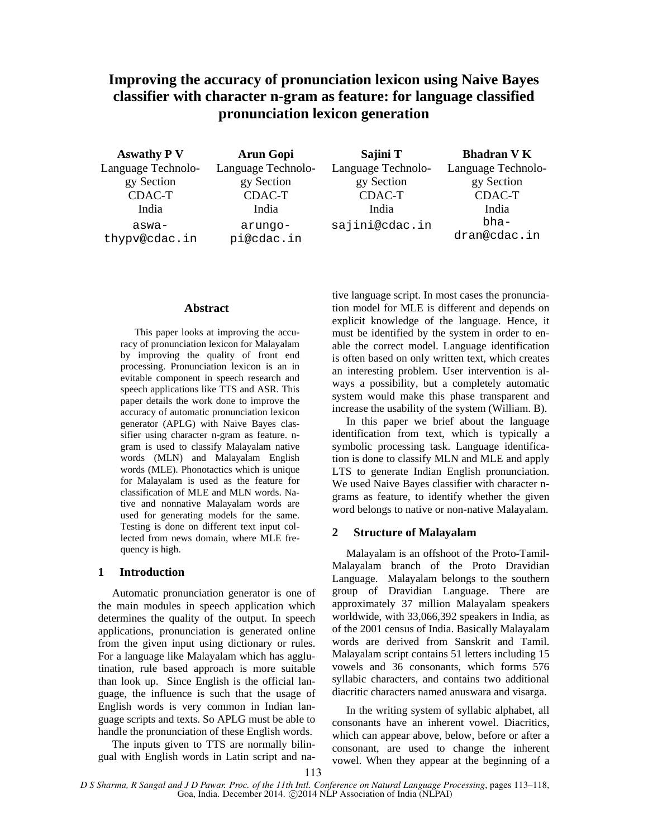# **Improving the accuracy of pronunciation lexicon using Naive Bayes classifier with character n-gram as feature: for language classified pronunciation lexicon generation**

**Aswathy P V**  Language Technology Section CDAC-T India aswathypv@cdac.in **Arun Gopi**  Language Technology Section CDAC-T India arungopi@cdac.in **Sajini T**  Language Technology Section CDAC-T India sajini@cdac.in **Bhadran V K**  Language Technology Section CDAC-T India bhadran@cdac.in

#### **Abstract**

This paper looks at improving the accuracy of pronunciation lexicon for Malayalam by improving the quality of front end processing. Pronunciation lexicon is an in evitable component in speech research and speech applications like TTS and ASR. This paper details the work done to improve the accuracy of automatic pronunciation lexicon generator (APLG) with Naive Bayes classifier using character n-gram as feature. ngram is used to classify Malayalam native words (MLN) and Malayalam English words (MLE). Phonotactics which is unique for Malayalam is used as the feature for classification of MLE and MLN words. Native and nonnative Malayalam words are used for generating models for the same. Testing is done on different text input collected from news domain, where MLE frequency is high.

#### **1 Introduction**

Automatic pronunciation generator is one of the main modules in speech application which determines the quality of the output. In speech applications, pronunciation is generated online from the given input using dictionary or rules. For a language like Malayalam which has agglutination, rule based approach is more suitable than look up. Since English is the official language, the influence is such that the usage of English words is very common in Indian language scripts and texts. So APLG must be able to handle the pronunciation of these English words.

The inputs given to TTS are normally bilingual with English words in Latin script and na-

tive language script. In most cases the pronunciation model for MLE is different and depends on explicit knowledge of the language. Hence, it must be identified by the system in order to enable the correct model. Language identification is often based on only written text, which creates an interesting problem. User intervention is always a possibility, but a completely automatic system would make this phase transparent and increase the usability of the system (William. B).

In this paper we brief about the language identification from text, which is typically a symbolic processing task. Language identification is done to classify MLN and MLE and apply LTS to generate Indian English pronunciation. We used Naive Bayes classifier with character ngrams as feature, to identify whether the given word belongs to native or non-native Malayalam.

## **2 Structure of Malayalam**

Malayalam is an offshoot of the Proto-Tamil-Malayalam branch of the Proto Dravidian Language. Malayalam belongs to the southern group of Dravidian Language. There are approximately 37 million Malayalam speakers worldwide, with 33,066,392 speakers in India, as of the 2001 census of India. Basically Malayalam words are derived from Sanskrit and Tamil. Malayalam script contains 51 letters including 15 vowels and 36 consonants, which forms 576 syllabic characters, and contains two additional diacritic characters named anuswara and visarga.

In the writing system of syllabic alphabet, all consonants have an inherent vowel. Diacritics, which can appear above, below, before or after a consonant, are used to change the inherent vowel. When they appear at the beginning of a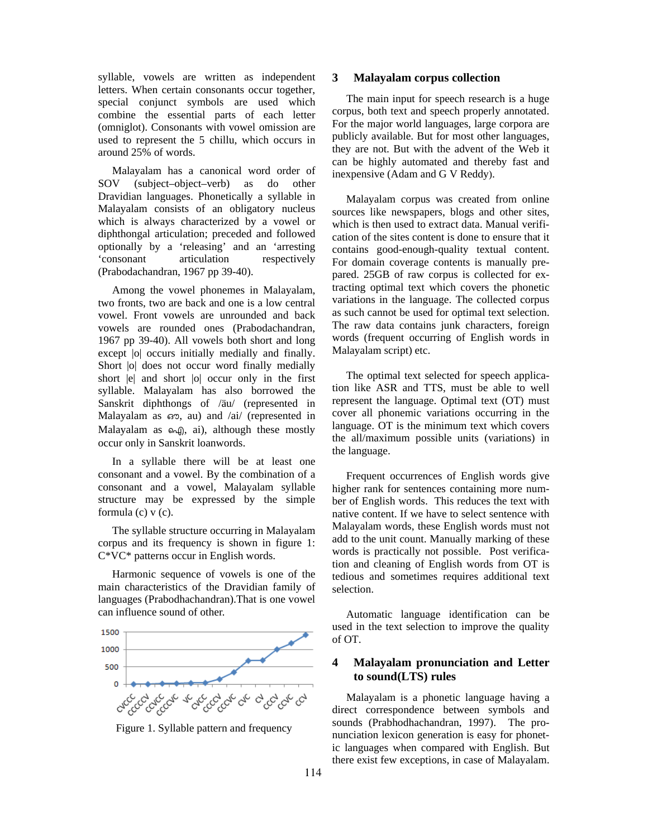syllable, vowels are written as independent letters. When certain consonants occur together, special conjunct symbols are used which combine the essential parts of each letter (omniglot). Consonants with vowel omission are used to represent the 5 chillu, which occurs in around 25% of words.

Malayalam has a canonical word order of SOV (subject–object–verb) as do other Dravidian languages. Phonetically a syllable in Malayalam consists of an obligatory nucleus which is always characterized by a vowel or diphthongal articulation; preceded and followed optionally by a 'releasing' and an 'arresting 'consonant articulation respectively (Prabodachandran, 1967 pp 39-40).

Among the vowel phonemes in Malayalam, two fronts, two are back and one is a low central vowel. Front vowels are unrounded and back vowels are rounded ones (Prabodachandran, 1967 pp 39-40). All vowels both short and long except |o| occurs initially medially and finally. Short  $|o|$  does not occur word finally medially short |e| and short |o| occur only in the first syllable. Malayalam has also borrowed the Sanskrit diphthongs of /äu/ (represented in Malayalam as ഔ, au) and /ai/ (represented in Malayalam as ഐ, ai), although these mostly occur only in Sanskrit loanwords.

In a syllable there will be at least one consonant and a vowel. By the combination of a consonant and a vowel, Malayalam syllable structure may be expressed by the simple formula  $(c)$  v  $(c)$ .

The syllable structure occurring in Malayalam corpus and its frequency is shown in figure 1: C\*VC\* patterns occur in English words.

Harmonic sequence of vowels is one of the main characteristics of the Dravidian family of languages (Prabodhachandran).That is one vowel can influence sound of other.



Figure 1. Syllable pattern and frequency

#### **3 Malayalam corpus collection**

The main input for speech research is a huge corpus, both text and speech properly annotated. For the major world languages, large corpora are publicly available. But for most other languages, they are not. But with the advent of the Web it can be highly automated and thereby fast and inexpensive (Adam and G V Reddy).

Malayalam corpus was created from online sources like newspapers, blogs and other sites, which is then used to extract data. Manual verification of the sites content is done to ensure that it contains good-enough-quality textual content. For domain coverage contents is manually prepared. 25GB of raw corpus is collected for extracting optimal text which covers the phonetic variations in the language. The collected corpus as such cannot be used for optimal text selection. The raw data contains junk characters, foreign words (frequent occurring of English words in Malayalam script) etc.

The optimal text selected for speech application like ASR and TTS, must be able to well represent the language. Optimal text (OT) must cover all phonemic variations occurring in the language. OT is the minimum text which covers the all/maximum possible units (variations) in the language.

Frequent occurrences of English words give higher rank for sentences containing more number of English words. This reduces the text with native content. If we have to select sentence with Malayalam words, these English words must not add to the unit count. Manually marking of these words is practically not possible. Post verification and cleaning of English words from OT is tedious and sometimes requires additional text selection.

Automatic language identification can be used in the text selection to improve the quality of OT.

# **4 Malayalam pronunciation and Letter to sound(LTS) rules**

Malayalam is a phonetic language having a direct correspondence between symbols and sounds (Prabhodhachandran, 1997). The pronunciation lexicon generation is easy for phonetic languages when compared with English. But there exist few exceptions, in case of Malayalam.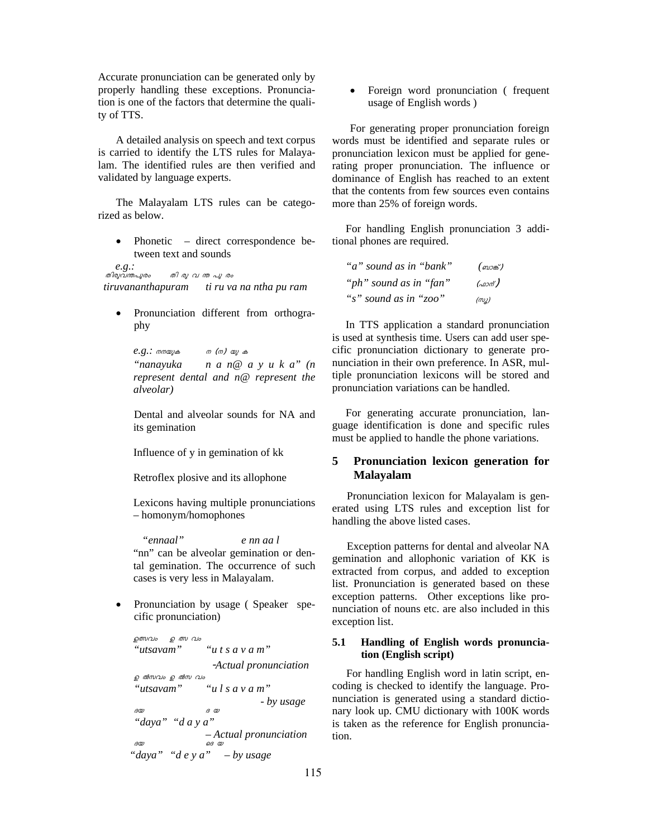Accurate pronunciation can be generated only by properly handling these exceptions. Pronunciation is one of the factors that determine the quality of TTS.

A detailed analysis on speech and text corpus is carried to identify the LTS rules for Malayalam. The identified rules are then verified and validated by language experts.

The Malayalam LTS rules can be categorized as below.

• Phonetic – direct correspondence between text and sounds

*e.g.:* തിരുവnപുരം തി രു <sup>വ</sup> n പു രം *tiruvananthapuram ti ru va na ntha pu ram* 

• Pronunciation different from orthography

*e.g.:* നനയുക <sup>ന</sup> (ന) യു <sup>ക</sup> *"nanayuka n a n@ a y u k a" (n represent dental and n@ represent the alveolar)* 

Dental and alveolar sounds for NA and its gemination

Influence of y in gemination of kk

Retroflex plosive and its allophone

Lexicons having multiple pronunciations – homonym/homophones

 *"ennaal" e nn aa l*  "nn" can be alveolar gemination or dental gemination. The occurrence of such cases is very less in Malayalam.

• Pronunciation by usage ( Speaker specific pronunciation)

```
ഉത്സവം ഉത്സ വം
"utsavam" "u t s a v a m" 
                   -Actual pronunciation 
ഉ ൽസവം ഉ ൽസ വം
 "utsavam" "u l s a v a m" 
                            - by usage ദയ ദ യ
 "daya" "d a y a" 
                – Actual pronunciation \overline{\textit{1}}ദയ ഒദയ
"daya" "d e y a" – by usage
```
• Foreign word pronunciation ( frequent usage of English words )

For generating proper pronunciation foreign words must be identified and separate rules or pronunciation lexicon must be applied for generating proper pronunciation. The influence or dominance of English has reached to an extent that the contents from few sources even contains more than 25% of foreign words.

For handling English pronunciation 3 additional phones are required.

| "a" sound as in "bank" | ( ബാങ്ക് )           |
|------------------------|----------------------|
| "ph" sound as in "fan" | (a <sub>0</sub>      |
| "s" sound as in "zoo"  | $(\omega_{\lambda})$ |

In TTS application a standard pronunciation is used at synthesis time. Users can add user specific pronunciation dictionary to generate pronunciation in their own preference. In ASR, multiple pronunciation lexicons will be stored and pronunciation variations can be handled.

For generating accurate pronunciation, language identification is done and specific rules must be applied to handle the phone variations.

# **5 Pronunciation lexicon generation for Malayalam**

Pronunciation lexicon for Malayalam is generated using LTS rules and exception list for handling the above listed cases.

Exception patterns for dental and alveolar NA gemination and allophonic variation of KK is extracted from corpus, and added to exception list. Pronunciation is generated based on these exception patterns. Other exceptions like pronunciation of nouns etc. are also included in this exception list.

## **5.1 Handling of English words pronunciation (English script)**

For handling English word in latin script, encoding is checked to identify the language. Pronunciation is generated using a standard dictionary look up. CMU dictionary with 100K words is taken as the reference for English pronunciation.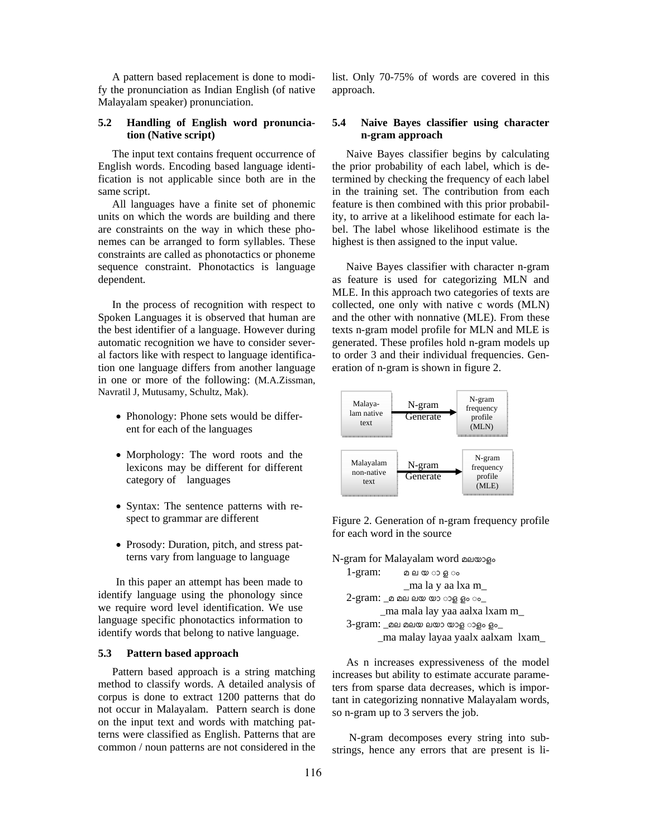A pattern based replacement is done to modify the pronunciation as Indian English (of native Malayalam speaker) pronunciation.

## **5.2 Handling of English word pronunciation (Native script)**

The input text contains frequent occurrence of English words. Encoding based language identification is not applicable since both are in the same script.

All languages have a finite set of phonemic units on which the words are building and there are constraints on the way in which these phonemes can be arranged to form syllables. These constraints are called as phonotactics or phoneme sequence constraint. Phonotactics is language dependent*.* 

In the process of recognition with respect to Spoken Languages it is observed that human are the best identifier of a language. However during automatic recognition we have to consider several factors like with respect to language identification one language differs from another language in one or more of the following: (M.A.Zissman, Navratil J, Mutusamy, Schultz, Mak).

- Phonology: Phone sets would be different for each of the languages
- Morphology: The word roots and the lexicons may be different for different category of languages
- Syntax: The sentence patterns with respect to grammar are different
- Prosody: Duration, pitch, and stress patterns vary from language to language

In this paper an attempt has been made to identify language using the phonology since we require word level identification. We use language specific phonotactics information to identify words that belong to native language.

## **5.3 Pattern based approach**

Pattern based approach is a string matching method to classify words. A detailed analysis of corpus is done to extract 1200 patterns that do not occur in Malayalam. Pattern search is done on the input text and words with matching patterns were classified as English. Patterns that are common / noun patterns are not considered in the list. Only 70-75% of words are covered in this approach.

# **5.4 Naive Bayes classifier using character n-gram approach**

Naive Bayes classifier begins by calculating the prior probability of each label, which is determined by checking the frequency of each label in the training set. The contribution from each feature is then combined with this prior probability, to arrive at a likelihood estimate for each label. The label whose likelihood estimate is the highest is then assigned to the input value.

Naive Bayes classifier with character n-gram as feature is used for categorizing MLN and MLE. In this approach two categories of texts are collected, one only with native c words (MLN) and the other with nonnative (MLE). From these texts n-gram model profile for MLN and MLE is generated. These profiles hold n-gram models up to order 3 and their individual frequencies. Generation of n-gram is shown in figure 2.



Figure 2. Generation of n-gram frequency profile for each word in the source

N-gram for Malayalam word മലയാളം  $1$ -gram: മലയ**ാ** ഒം \_ma la y aa lxa m\_  $2$ -gram: \_മ മല ലയ യാ ാള ളം ം\_ \_ma mala lay yaa aalxa lxam m\_ 3-gram: \_മല മലയ ലയാ യാള ◌ാളം ളം\_ \_ma malay layaa yaalx aalxam lxam\_

As n increases expressiveness of the model increases but ability to estimate accurate parameters from sparse data decreases, which is important in categorizing nonnative Malayalam words, so n-gram up to 3 servers the job.

 N-gram decomposes every string into substrings, hence any errors that are present is li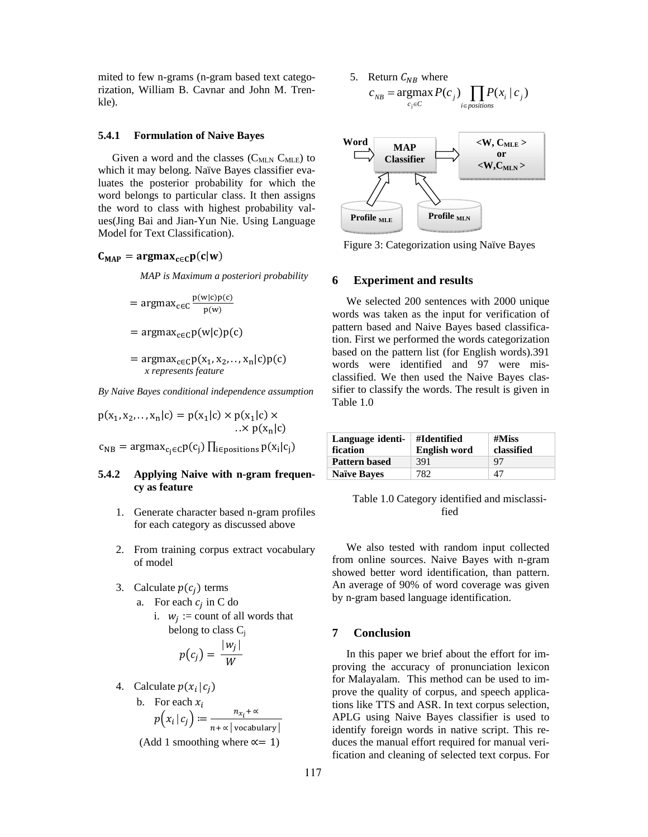mited to few n-grams (n-gram based text categorization, William B. Cavnar and John M. Trenkle).

## **5.4.1 Formulation of Naive Bayes**

Given a word and the classes  $(C_{MLN} C_{MLE})$  to which it may belong. Naïve Bayes classifier evaluates the posterior probability for which the word belongs to particular class. It then assigns the word to class with highest probability values(Jing Bai and Jian-Yun Nie. Using Language Model for Text Classification).

# $C_{MAP} = \text{argmax}_{c \in C} p(c|w)$

*MAP is Maximum a posteriori probability* 

$$
= \text{argmax}_{c \in C} \frac{p(w|c)p(c)}{p(w)}
$$

$$
= \text{argmax}_{c \in C} p(w|c) p(c)
$$

 $= \argmax_{c \in C} p(x_1, x_2, \ldots, x_n|c)p(c)$ *x represents feature* 

*By Naive Bayes conditional independence assumption* 

 $p(x_1, x_2, \ldots, x_n|c) = p(x_1|c) \times p(x_1|c) \times$  $\ldots \times p(x_n|c)$  $c_{NB}$  = argmax<sub>ci</sub> $\epsilon_c p(c_i)$   $\prod_{i \in positions} p(x_i|c_i)$ 

## **5.4.2 Applying Naive with n-gram frequency as feature**

- 1. Generate character based n-gram profiles for each category as discussed above
- 2. From training corpus extract vocabulary of model
- 3. Calculate  $p(c_i)$  terms
	- a. For each  $c_i$  in C do
		- i.  $w_i :=$  count of all words that belong to class  $C_i$

$$
p(c_j) = \frac{|w_j|}{W}
$$

- 4. Calculate  $p(x_i | c_j)$ 
	- b. For each  $x_i$  $p(x_i | c_j) \coloneqq \frac{n_{x_i} + \infty}{\sqrt{r_i^2 + \dots + r_k^2}}$  $\frac{n x_i}{n + \alpha \left| \text{ vocabulary} \right|}$

(Add 1 smoothing where  $\alpha = 1$ )

5. Return 
$$
C_{NB}
$$
 where  
\n
$$
c_{NB} = \underset{c_j \in C}{\text{argmax}} P(c_j) \prod_{i \in positions} P(x_i | c_j)
$$



Figure 3: Categorization using Naïve Bayes

#### **6 Experiment and results**

We selected 200 sentences with 2000 unique words was taken as the input for verification of pattern based and Naive Bayes based classification. First we performed the words categorization based on the pattern list (for English words).391 words were identified and 97 were misclassified. We then used the Naive Bayes classifier to classify the words. The result is given in Table 1.0

| Language identi-<br>fication | #Identified<br><b>English word</b> | $#M$ iss<br>classified |
|------------------------------|------------------------------------|------------------------|
| <b>Pattern based</b>         | 391                                | 97                     |
| <b>Naïve Bayes</b>           | 782                                | 47                     |

Table 1.0 Category identified and misclassified

We also tested with random input collected from online sources. Naive Bayes with n-gram showed better word identification, than pattern. An average of 90% of word coverage was given by n-gram based language identification.

## **7 Conclusion**

In this paper we brief about the effort for improving the accuracy of pronunciation lexicon for Malayalam. This method can be used to improve the quality of corpus, and speech applications like TTS and ASR. In text corpus selection, APLG using Naive Bayes classifier is used to identify foreign words in native script. This reduces the manual effort required for manual verification and cleaning of selected text corpus. For